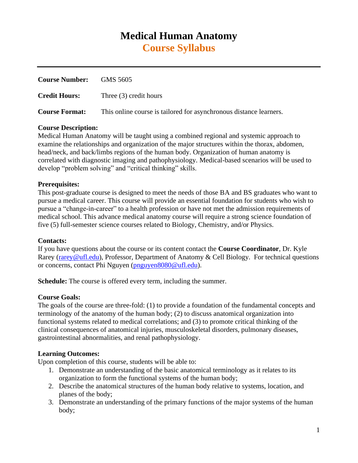# **Medical Human Anatomy Course Syllabus**

| <b>Course Number:</b> | GMS 5605                                                           |
|-----------------------|--------------------------------------------------------------------|
| <b>Credit Hours:</b>  | Three $(3)$ credit hours                                           |
| <b>Course Format:</b> | This online course is tailored for asynchronous distance learners. |

# **Course Description:**

Medical Human Anatomy will be taught using a combined regional and systemic approach to examine the relationships and organization of the major structures within the thorax, abdomen, head/neck, and back/limbs regions of the human body. Organization of human anatomy is correlated with diagnostic imaging and pathophysiology. Medical-based scenarios will be used to develop "problem solving" and "critical thinking" skills.

# **Prerequisites:**

This post-graduate course is designed to meet the needs of those BA and BS graduates who want to pursue a medical career. This course will provide an essential foundation for students who wish to pursue a "change-in-career" to a health profession or have not met the admission requirements of medical school. This advance medical anatomy course will require a strong science foundation of five (5) full-semester science courses related to Biology, Chemistry, and/or Physics.

# **Contacts:**

If you have questions about the course or its content contact the **Course Coordinator**, Dr. Kyle Rarey [\(rarey@ufl.edu\)](mailto:rarey@ufl.edu), Professor, Department of Anatomy & Cell Biology. For technical questions or concerns, contact Phi Nguyen [\(pnguyen8080@ufl.edu\)](mailto:pnguyen8080@ufl.edu).

**Schedule:** The course is offered every term, including the summer.

# **Course Goals:**

The goals of the course are three-fold: (1) to provide a foundation of the fundamental concepts and terminology of the anatomy of the human body; (2) to discuss anatomical organization into functional systems related to medical correlations; and (3) to promote critical thinking of the clinical consequences of anatomical injuries, musculoskeletal disorders, pulmonary diseases, gastrointestinal abnormalities, and renal pathophysiology.

# **Learning Outcomes:**

Upon completion of this course, students will be able to:

- 1. Demonstrate an understanding of the basic anatomical terminology as it relates to its organization to form the functional systems of the human body;
- 2. Describe the anatomical structures of the human body relative to systems, location, and planes of the body;
- 3. Demonstrate an understanding of the primary functions of the major systems of the human body;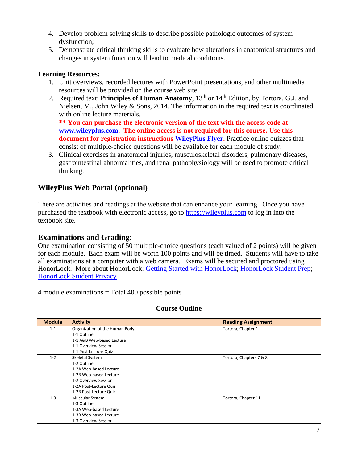- 4. Develop problem solving skills to describe possible pathologic outcomes of system dysfunction;
- 5. Demonstrate critical thinking skills to evaluate how alterations in anatomical structures and changes in system function will lead to medical conditions.

# **Learning Resources:**

- 1. Unit overviews, recorded lectures with PowerPoint presentations, and other multimedia resources will be provided on the course web site.
- 2. Required text: **Principles of Human Anatomy**, 13<sup>th</sup> or 14<sup>th</sup> Edition, by Tortora, G.J. and Nielsen, M., John Wiley & Sons, 2014. The information in the required text is coordinated with online lecture materials.

**\*\* You can purchase the electronic version of the text with the access code at [www.wileyplus.com.](http://www.wileyplus.com/) The online access is not required for this course. Use this document for registration instructions [WileyPlus Flyer.](https://com-acb-a2.sites.medinfo.ufl.edu/wordpress/files/2021/04/courseflyer_A29517.pdf)** Practice online quizzes that consist of multiple-choice questions will be available for each module of study.

3. Clinical exercises in anatomical injuries, musculoskeletal disorders, pulmonary diseases, gastrointestinal abnormalities, and renal pathophysiology will be used to promote critical thinking.

# **WileyPlus Web Portal (optional)**

There are activities and readings at the website that can enhance your learning. Once you have purchased the textbook with electronic access, go to [https://wileyplus.com](https://wileyplus.com/) to log in into the textbook site.

# **Examinations and Grading:**

One examination consisting of 50 multiple-choice questions (each valued of 2 points) will be given for each module. Each exam will be worth 100 points and will be timed. Students will have to take all examinations at a computer with a web camera. Exams will be secured and proctored using HonorLock. More about HonorLock: [Getting Started with HonorLock;](https://com-acb-online-a2.sites.medinfo.ufl.edu/wordpress/files/2020/05/Honorlock-Getting-Started-with-Honorlock.pdf) [HonorLock Student Prep;](https://com-acb-online-a2.sites.medinfo.ufl.edu/wordpress/files/2020/05/Honorlock-Student-Exam-Preparation-Information.pdf) [HonorLock Student Privacy](https://com-acb-online-a2.sites.medinfo.ufl.edu/wordpress/files/2020/05/Honorlock-Student-Privacy.pdf)

4 module examinations = Total 400 possible points

# **Course Outline**

| <b>Module</b> | <b>Activity</b>                | <b>Reading Assignment</b> |
|---------------|--------------------------------|---------------------------|
| $1 - 1$       | Organization of the Human Body | Tortora, Chapter 1        |
|               | 1-1 Outline                    |                           |
|               | 1-1 A&B Web-based Lecture      |                           |
|               | 1-1 Overview Session           |                           |
|               | 1-1 Post-Lecture Quiz          |                           |
| $1 - 2$       | Skeletal System                | Tortora, Chapters 7 & 8   |
|               | 1-2 Outline                    |                           |
|               | 1-2A Web-based Lecture         |                           |
|               | 1-2B Web-based Lecture         |                           |
|               | 1-2 Overview Session           |                           |
|               | 1-2A Post-Lecture Quiz         |                           |
|               | 1-2B Post-Lecture Quiz         |                           |
| $1 - 3$       | Muscular System                | Tortora, Chapter 11       |
|               | 1-3 Outline                    |                           |
|               | 1-3A Web-based Lecture         |                           |
|               | 1-3B Web-based Lecture         |                           |
|               | 1-3 Overview Session           |                           |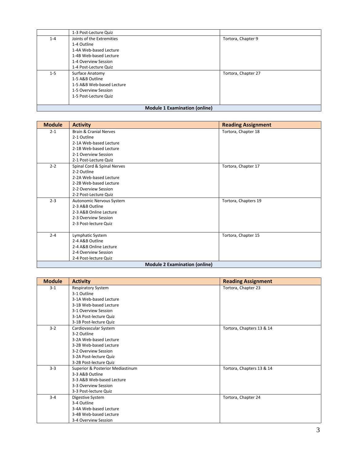|                                      | 1-3 Post-Lecture Quiz     |                     |
|--------------------------------------|---------------------------|---------------------|
| $1 - 4$                              | Joints of the Extremities | Tortora, Chapter 9  |
|                                      | 1-4 Outline               |                     |
|                                      | 1-4A Web-based Lecture    |                     |
|                                      | 1-4B Web-based Lecture    |                     |
|                                      | 1-4 Overview Session      |                     |
|                                      | 1-4 Post-Lecture Quiz     |                     |
| $1 - 5$                              | Surface Anatomy           | Tortora, Chapter 27 |
|                                      | 1-5 A&B Outline           |                     |
|                                      | 1-5 A&B Web-based Lecture |                     |
|                                      | 1-5 Overview Session      |                     |
|                                      | 1-5 Post-Lecture Quiz     |                     |
|                                      |                           |                     |
| <b>Module 1 Examination (online)</b> |                           |                     |

## **Module 1 Examination (online)**

| <b>Module</b> | <b>Activity</b>                      | <b>Reading Assignment</b> |
|---------------|--------------------------------------|---------------------------|
| $2 - 1$       | <b>Brain &amp; Cranial Nerves</b>    | Tortora, Chapter 18       |
|               | 2-1 Outline                          |                           |
|               | 2-1A Web-based Lecture               |                           |
|               | 2-1B Web-based Lecture               |                           |
|               | 2-1 Overview Session                 |                           |
|               | 2-1 Post-Lecture Quiz                |                           |
| $2 - 2$       | Spinal Cord & Spinal Nerves          | Tortora, Chapter 17       |
|               | 2-2 Outline                          |                           |
|               | 2-2A Web-based Lecture               |                           |
|               | 2-2B Web-based Lecture               |                           |
|               | 2-2 Overview Session                 |                           |
|               | 2-2 Post-Lecture Quiz                |                           |
| $2 - 3$       | Autonomic Nervous System             | Tortora, Chapters 19      |
|               | 2-3 A&B Outline                      |                           |
|               | 2-3 A&B Online Lecture               |                           |
|               | 2-3 Overview Session                 |                           |
|               | 2-3 Post-lecture Quiz                |                           |
| $2 - 4$       | Lymphatic System                     | Tortora, Chapter 15       |
|               | 2-4 A&B Outline                      |                           |
|               | 2-4 A&B Online Lecture               |                           |
|               | 2-4 Overview Session                 |                           |
|               | 2-4 Post-lecture Quiz                |                           |
|               | <b>Module 2 Examination (online)</b> |                           |

| <b>Module</b> | <b>Activity</b>                  | <b>Reading Assignment</b> |
|---------------|----------------------------------|---------------------------|
| $3-1$         | <b>Respiratory System</b>        | Tortora, Chapter 23       |
|               | 3-1 Outline                      |                           |
|               | 3-1A Web-based Lecture           |                           |
|               | 3-1B Web-based Lecture           |                           |
|               | 3-1 Overview Session             |                           |
|               | 3-1A Post-lecture Quiz           |                           |
|               | 3-1B Post-lecture Quiz           |                           |
| $3 - 2$       | Cardiovascular System            | Tortora, Chapters 13 & 14 |
|               | 3-2 Outline                      |                           |
|               | 3-2A Web-based Lecture           |                           |
|               | 3-2B Web-based Lecture           |                           |
|               | 3-2 Overview Session             |                           |
|               | 3-2A Post-lecture Quiz           |                           |
|               | 3-2B Post-lecture Quiz           |                           |
| $3 - 3$       | Superior & Posterior Mediastinum | Tortora, Chapters 13 & 14 |
|               | 3-3 A&B Outline                  |                           |
|               | 3-3 A&B Web-based Lecture        |                           |
|               | 3-3 Overview Session             |                           |
|               | 3-3 Post-lecture Quiz            |                           |
| $3 - 4$       | Digestive System                 | Tortora, Chapter 24       |
|               | 3-4 Outline                      |                           |
|               | 3-4A Web-based Lecture           |                           |
|               | 3-4B Web-based Lecture           |                           |
|               | 3-4 Overview Session             |                           |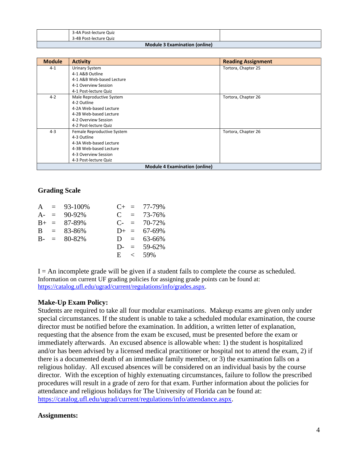|                                      | 3-4A Post-lecture Quiz |  |  |
|--------------------------------------|------------------------|--|--|
|                                      | 3-4B Post-lecture Quiz |  |  |
| <b>Module 3 Examination (online)</b> |                        |  |  |

| <b>Module</b> | <b>Activity</b>            | <b>Reading Assignment</b>            |
|---------------|----------------------------|--------------------------------------|
| $4 - 1$       | Urinary System             | Tortora, Chapter 25                  |
|               | 4-1 A&B Outline            |                                      |
|               | 4-1 A&B Web-based Lecture  |                                      |
|               | 4-1 Overview Session       |                                      |
|               | 4-1 Post-lecture Quiz      |                                      |
| $4 - 2$       | Male Reproductive System   | Tortora, Chapter 26                  |
|               | 4-2 Outline                |                                      |
|               | 4-2A Web-based Lecture     |                                      |
|               | 4-2B Web-based Lecture     |                                      |
|               | 4-2 Overview Session       |                                      |
|               | 4-2 Post-lecture Quiz      |                                      |
| $4 - 3$       | Female Reproductive System | Tortora, Chapter 26                  |
|               | 4-3 Outline                |                                      |
|               | 4-3A Web-based Lecture     |                                      |
|               | 4-3B Web-based Lecture     |                                      |
|               | 4-3 Overview Session       |                                      |
|               | 4-3 Post-lecture Quiz      |                                      |
|               |                            | <b>Module 4 Examination (online)</b> |

## **Grading Scale**

|  | $A = 93-100\%$      |  | $C_{+}$ = 77-79%  |
|--|---------------------|--|-------------------|
|  | $A = 90-92\%$       |  | $C = 73-76%$      |
|  | $B_{+} = 87 - 89\%$ |  | $C = 70-72%$      |
|  | $B = 83-86%$        |  | $D_{+} = 67-69\%$ |
|  | $B - = 80-82\%$     |  | $D = 63-66\%$     |
|  |                     |  | $D = 59-62\%$     |
|  |                     |  | $E \leq 59\%$     |
|  |                     |  |                   |

 $I = An incomplete grade will be given if a student fails to complete the course as scheduled.$ Information on current UF grading policies for assigning grade points can be found at: [https://catalog.ufl.edu/ugrad/current/regulations/info/grades.aspx.](https://catalog.ufl.edu/ugrad/current/regulations/info/grades.aspx)

#### **Make-Up Exam Policy:**

Students are required to take all four modular examinations. Makeup exams are given only under special circumstances. If the student is unable to take a scheduled modular examination, the course director must be notified before the examination. In addition, a written letter of explanation, requesting that the absence from the exam be excused, must be presented before the exam or immediately afterwards. An excused absence is allowable when: 1) the student is hospitalized and/or has been advised by a licensed medical practitioner or hospital not to attend the exam, 2) if there is a documented death of an immediate family member, or 3) the examination falls on a religious holiday. All excused absences will be considered on an individual basis by the course director. With the exception of highly extenuating circumstances, failure to follow the prescribed procedures will result in a grade of zero for that exam. Further information about the policies for attendance and religious holidays for The University of Florida can be found at: [https://catalog.ufl.edu/ugrad/current/regulations/info/attendance.aspx.](https://catalog.ufl.edu/ugrad/current/regulations/info/attendance.aspx)

#### **Assignments:**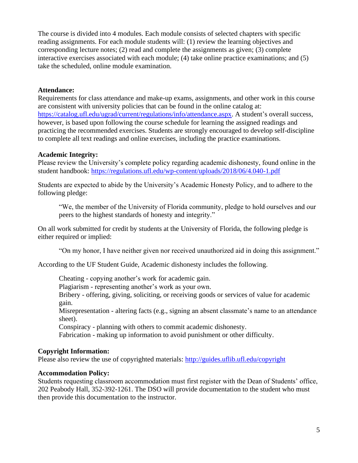The course is divided into 4 modules. Each module consists of selected chapters with specific reading assignments. For each module students will: (1) review the learning objectives and corresponding lecture notes;  $(2)$  read and complete the assignments as given;  $(3)$  complete interactive exercises associated with each module; (4) take online practice examinations; and (5) take the scheduled, online module examination.

## **Attendance:**

Requirements for class attendance and make-up exams, assignments, and other work in this course are consistent with university policies that can be found in the online catalog at: [https://catalog.ufl.edu/ugrad/current/regulations/info/attendance.aspx.](https://catalog.ufl.edu/ugrad/current/regulations/info/attendance.aspx) A student's overall success, however, is based upon following the course schedule for learning the assigned readings and practicing the recommended exercises. Students are strongly encouraged to develop self-discipline to complete all text readings and online exercises, including the practice examinations.

## **Academic Integrity:**

Please review the University's complete policy regarding academic dishonesty, found online in the student handbook: <https://regulations.ufl.edu/wp-content/uploads/2018/06/4.040-1.pdf>

Students are expected to abide by the University's Academic Honesty Policy, and to adhere to the following pledge:

"We, the member of the University of Florida community, pledge to hold ourselves and our peers to the highest standards of honesty and integrity."

On all work submitted for credit by students at the University of Florida, the following pledge is either required or implied:

"On my honor, I have neither given nor received unauthorized aid in doing this assignment."

According to the UF Student Guide, Academic dishonesty includes the following.

Cheating - copying another's work for academic gain.

Plagiarism - representing another's work as your own.

Bribery - offering, giving, soliciting, or receiving goods or services of value for academic gain.

Misrepresentation - altering facts (e.g., signing an absent classmate's name to an attendance sheet).

Conspiracy - planning with others to commit academic dishonesty.

Fabrication - making up information to avoid punishment or other difficulty.

# **Copyright Information:**

Please also review the use of copyrighted materials:<http://guides.uflib.ufl.edu/copyright>

#### **Accommodation Policy:**

Students requesting classroom accommodation must first register with the Dean of Students' office, 202 Peabody Hall, 352-392-1261. The DSO will provide documentation to the student who must then provide this documentation to the instructor.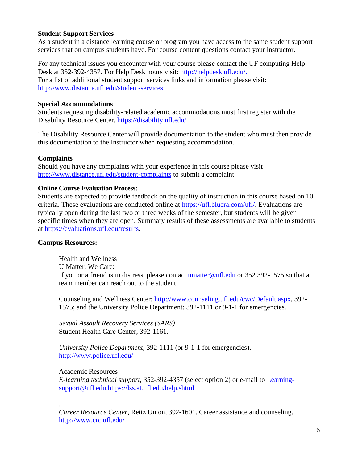## **Student Support Services**

As a student in a distance learning course or program you have access to the same student support services that on campus students have. For course content questions contact your instructor.

For any technical issues you encounter with your course please contact the UF computing Help Desk at 352-392-4357. For Help Desk hours visit: [http://helpdesk.ufl.edu/.](http://helpdesk.ufl.edu/) For a list of additional student support services links and information please visit: <http://www.distance.ufl.edu/student-services>

### **Special Accommodations**

Students requesting disability-related academic accommodations must first register with the Disability Resource Center. <https://disability.ufl.edu/>

The Disability Resource Center will provide documentation to the student who must then provide this documentation to the Instructor when requesting accommodation.

## **Complaints**

Should you have any complaints with your experience in this course please visit <http://www.distance.ufl.edu/student-complaints> to submit a complaint.

## **Online Course Evaluation Process:**

Students are expected to provide feedback on the quality of instruction in this course based on 10 criteria. These evaluations are conducted online at https://ufl.bluera.com/ufl/. Evaluations are typically open during the last two or three weeks of the semester, but students will be given specific times when they are open. Summary results of these assessments are available to students at [https://evaluations.ufl.edu/results.](https://evaluations.ufl.edu/results)

#### **Campus Resources:**

Health and Wellness U Matter, We Care: If you or a friend is in distress, please contact umatter@ufl.edu or 352 392-1575 so that a team member can reach out to the student.

Counseling and Wellness Center: http://www.counseling.ufl.edu/cwc/Default.aspx, 392- 1575; and the University Police Department: 392-1111 or 9-1-1 for emergencies.

*Sexual Assault Recovery Services (SARS)*  Student Health Care Center, 392-1161.

*University Police Department,* 392-1111 (or 9-1-1 for emergencies). <http://www.police.ufl.edu/>

Academic Resources

*E-learning technical support*, 352-392-4357 (select option 2) or e-mail to [Learning](mailto:Learning-support@ufl.edu.https://lss.at.ufl.edu/help.shtml)[support@ufl.edu.https://lss.at.ufl.edu/help.shtml](mailto:Learning-support@ufl.edu.https://lss.at.ufl.edu/help.shtml)

. *Career Resource Center*, Reitz Union, 392-1601. Career assistance and counseling. <http://www.crc.ufl.edu/>